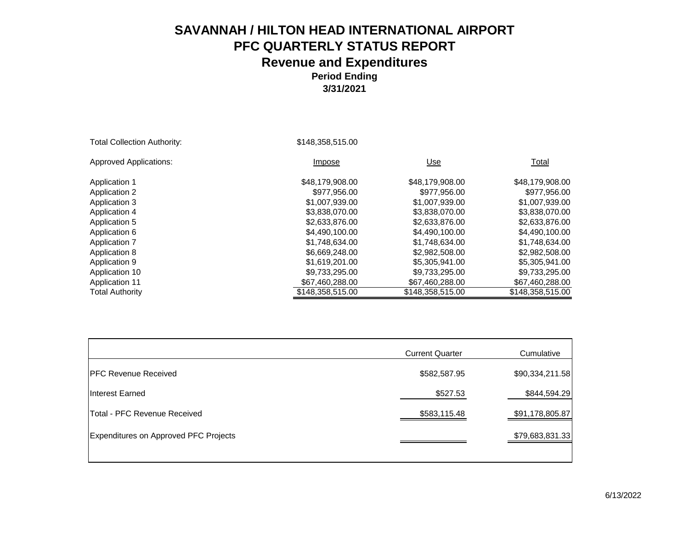#### **3/31/2021**

| <b>Total Collection Authority:</b> | \$148,358,515.00 |                  |                  |
|------------------------------------|------------------|------------------|------------------|
| <b>Approved Applications:</b>      | Impose           | Use              | Total            |
| <b>Application 1</b>               | \$48,179,908.00  | \$48,179,908.00  | \$48,179,908.00  |
| <b>Application 2</b>               | \$977,956.00     | \$977,956.00     | \$977,956.00     |
| Application 3                      | \$1,007,939.00   | \$1,007,939.00   | \$1,007,939.00   |
| Application 4                      | \$3,838,070,00   | \$3,838,070,00   | \$3,838,070.00   |
| Application 5                      | \$2,633,876.00   | \$2,633,876.00   | \$2,633,876.00   |
| Application 6                      | \$4,490,100.00   | \$4,490,100.00   | \$4,490,100.00   |
| <b>Application 7</b>               | \$1,748,634.00   | \$1.748.634.00   | \$1,748,634.00   |
| Application 8                      | \$6,669,248.00   | \$2,982,508.00   | \$2,982,508.00   |
| Application 9                      | \$1,619,201.00   | \$5,305,941.00   | \$5,305,941.00   |
| Application 10                     | \$9,733,295.00   | \$9,733,295.00   | \$9,733,295.00   |
| <b>Application 11</b>              | \$67,460,288.00  | \$67,460,288.00  | \$67,460,288.00  |
| <b>Total Authority</b>             | \$148,358,515.00 | \$148,358,515.00 | \$148,358,515.00 |

|                                       | <b>Current Quarter</b> | Cumulative      |
|---------------------------------------|------------------------|-----------------|
| <b>IPFC Revenue Received</b>          | \$582,587.95           | \$90,334,211.58 |
| Interest Earned                       | \$527.53               | \$844,594.29    |
| <b>Total - PFC Revenue Received</b>   | \$583,115.48           | \$91,178,805.87 |
| Expenditures on Approved PFC Projects |                        | \$79,683,831.33 |
|                                       |                        |                 |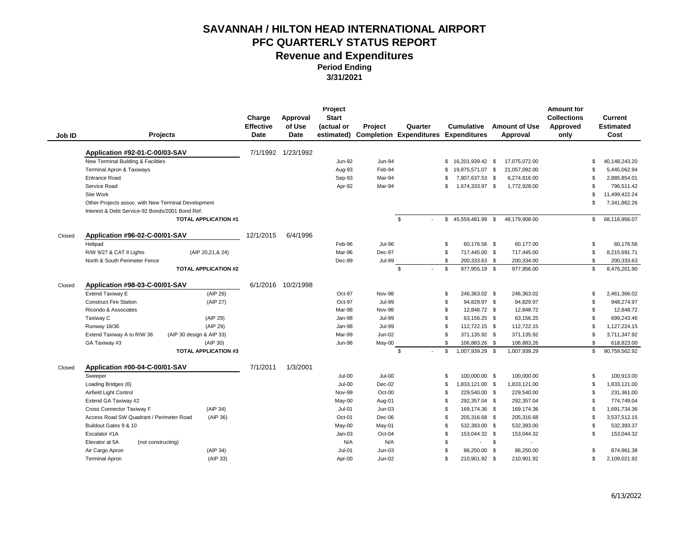|        |                                                        | Charge<br><b>Effective</b> | Approval<br>of Use | Project<br><b>Start</b><br>(actual or | Project       | Quarter                                     | <b>Cumulative</b>               | <b>Amount of Use</b> | <b>Amount for</b><br><b>Collections</b><br>Approved |                | Current<br><b>Estimated</b> |
|--------|--------------------------------------------------------|----------------------------|--------------------|---------------------------------------|---------------|---------------------------------------------|---------------------------------|----------------------|-----------------------------------------------------|----------------|-----------------------------|
| Job ID | <b>Projects</b>                                        | <b>Date</b>                | Date               | estimated)                            |               | <b>Completion Expenditures Expenditures</b> |                                 | Approval             | only                                                |                | Cost                        |
|        | Application #92-01-C-00/03-SAV                         |                            | 7/1/1992 1/23/1992 |                                       |               |                                             |                                 |                      |                                                     |                |                             |
|        | New Terminal Building & Facilities                     |                            |                    | <b>Jun-92</b>                         | <b>Jun-94</b> |                                             | 16,201,939.42 \$<br>\$          | 17,075,072.00        |                                                     | \$             | 40.148.243.20               |
|        | <b>Terminal Apron &amp; Taxiways</b>                   |                            |                    | Aug-93                                | Feb-94        |                                             | 19,875,571.07 \$<br>\$.         | 21,057,092.00        |                                                     | \$             | 5,445,062.94                |
|        | <b>Entrance Road</b>                                   |                            |                    | Sep-93                                | Mar-94        |                                             | 7,807,637.53 \$                 | 8,274,816.00         |                                                     | \$             | 2,885,854.01                |
|        | Service Road                                           |                            |                    | Apr-92                                | Mar-94        |                                             | 1,674,333.97 \$<br>\$.          | 1,772,928.00         |                                                     | \$             | 796,511.42                  |
|        | Site Work                                              |                            |                    |                                       |               |                                             |                                 |                      |                                                     | \$             | 11,499,422.24               |
|        | Other Projects assoc. with New Terminal Development    |                            |                    |                                       |               |                                             |                                 |                      |                                                     | \$             | 7,341,862.26                |
|        | Interest & Debt Service-92 Bonds/2001 Bond Ref.        |                            |                    |                                       |               |                                             |                                 |                      |                                                     |                |                             |
|        | <b>TOTAL APPLICATION #1</b>                            |                            |                    |                                       |               | \$                                          | 45,559,481.99 \$<br>\$          | 48,179,908.00        |                                                     | \$             | 68,116,956.07               |
| Closed | Application #96-02-C-00/01-SAV                         | 12/1/2015                  | 6/4/1996           |                                       |               |                                             |                                 |                      |                                                     |                |                             |
|        | Helipad                                                |                            |                    | Feb-96                                | <b>Jul-96</b> |                                             | \$<br>60,176.56 \$              | 60.177.00            |                                                     | \$             | 60,176.56                   |
|        | R/W 9/27 & CAT II Lights<br>(AIP 20,21,& 24)           |                            |                    | Mar-96                                | Dec-97        |                                             | \$<br>717,445.00 \$             | 717,445.00           |                                                     | \$             | 8,215,691.71                |
|        | North & South Perimeter Fence                          |                            |                    | Dec-99                                | <b>Jul-99</b> |                                             | \$<br>200,333.63 \$             | 200,334.00           |                                                     | \$             | 200,333.63                  |
|        | <b>TOTAL APPLICATION #2</b>                            |                            |                    |                                       |               | \$                                          | \$<br>977,955.19 \$             | 977,956.00           |                                                     | \$             | 8,476,201.90                |
| Closed | Application #98-03-C-00/01-SAV                         |                            | 6/1/2016 10/2/1998 |                                       |               |                                             |                                 |                      |                                                     |                |                             |
|        | <b>Extend Taxiway E</b>                                | (AIP 26)                   |                    | Oct-97                                | <b>Nov-98</b> |                                             | \$<br>246,363.02 \$             | 246,363.02           |                                                     | \$             | 2,461,366.02                |
|        | <b>Construct Fire Station</b>                          | (AIP 27)                   |                    | Oct-97                                | Jul-99        |                                             | 94,829.97 \$<br>\$              | 94,829.97            |                                                     | \$             | 948,274.97                  |
|        | Ricondo & Associates                                   |                            |                    | Mar-98                                | <b>Nov-98</b> |                                             | $\mathfrak{L}$<br>12,848.72 \$  | 12,848.72            |                                                     | $\mathfrak{L}$ | 12,848.72                   |
|        | Taxiway C                                              | (AIP 29)                   |                    | Jan-98                                | <b>Jul-99</b> |                                             | 63,156.25 \$<br>\$              | 63,156.25            |                                                     | \$             | 699,243.46                  |
|        | Runway 18/36                                           | (AIP 29)                   |                    | Jan-98                                | <b>Jul-99</b> |                                             | 112,722.15 \$<br>\$             | 112,722.15           |                                                     | \$             | 1,127,224.15                |
|        | (AIP 30 design & AIP 33)<br>Extend Taxiway A to R/W 36 |                            |                    | Mar-99                                | $Jun-02$      |                                             | \$<br>371,135.92 \$             | 371,135.92           |                                                     | \$             | 3,711,347.92                |
|        | GA Taxiway #3                                          | (AIP 30)                   |                    | <b>Jun-98</b>                         | May-00        |                                             | $\mathfrak{L}$<br>106,883.26 \$ | 106,883.26           |                                                     | \$             | 618,823.00                  |
|        | <b>TOTAL APPLICATION #3</b>                            |                            |                    |                                       |               | \$                                          | 1,007,939.29 \$<br>\$           | 1,007,939.29         |                                                     | \$             | 90,759,562.92               |
| Closed | Application #00-04-C-00/01-SAV                         | 7/1/2011                   | 1/3/2001           |                                       |               |                                             |                                 |                      |                                                     |                |                             |
|        | Sweeper                                                |                            |                    | $Jul-00$                              | $Jul-00$      |                                             | 100,000.00 \$<br>\$             | 100,000.00           |                                                     | $\mathfrak{L}$ | 100,913.00                  |
|        | Loading Bridges (6)                                    |                            |                    | $Jul-00$                              | $Dec-02$      |                                             | 1,833,121.00 \$<br>\$.          | 1,833,121.00         |                                                     | \$             | 1,833,121.00                |
|        | Airfield Light Control                                 |                            |                    | Nov-99                                | Oct-00        |                                             | 229,540.00 \$<br>\$             | 229,540.00           |                                                     | \$             | 231,361.00                  |
|        | Extend GA Taxiway #2                                   |                            |                    | May-00                                | Aug-01        |                                             | $\mathfrak{L}$<br>292,357.04 \$ | 292,357.04           |                                                     | $\mathfrak{L}$ | 774,749.04                  |
|        | Cross Connector Taxiway F                              | (AIP 34)                   |                    | $Jul-01$                              | $Jun-03$      |                                             | 169,174.36 \$<br>\$             | 169,174.36           |                                                     | \$             | 1,691,734.36                |
|        | Access Road SW Quadrant / Perimeter Road               | (AIP 36)                   |                    | Oct-01                                | Dec-06        |                                             | 205,316.68 \$<br>\$             | 205,316.68           |                                                     | $\mathfrak{L}$ | 3,537,512.15                |
|        | Buildout Gates 9 & 10                                  |                            |                    | May-00                                | May-01        |                                             | \$<br>532,393.00 \$             | 532,393.00           |                                                     | \$             | 532,393.37                  |
|        | Escalator #1A                                          |                            |                    | $Jan-03$                              | Oct-04        |                                             | \$<br>153,044.32 \$             | 153.044.32           |                                                     | \$             | 153,044.32                  |
|        | Elevator at 5A<br>(not constructing)                   |                            |                    | N/A                                   | N/A           |                                             | \$<br>$\sim 10^{-11}$           | \$                   |                                                     |                |                             |
|        | Air Cargo Apron                                        | (AIP 34)                   |                    | <b>Jul-01</b>                         | $Jun-03$      |                                             | 86,250.00 \$<br>\$              | 86,250.00            |                                                     | \$             | 874,961.38                  |
|        | <b>Terminal Apron</b>                                  | (AIP 33)                   |                    | Apr-00                                | $Jun-02$      |                                             | \$<br>210,901.92 \$             | 210,901.92           |                                                     | \$             | 2,109,021.92                |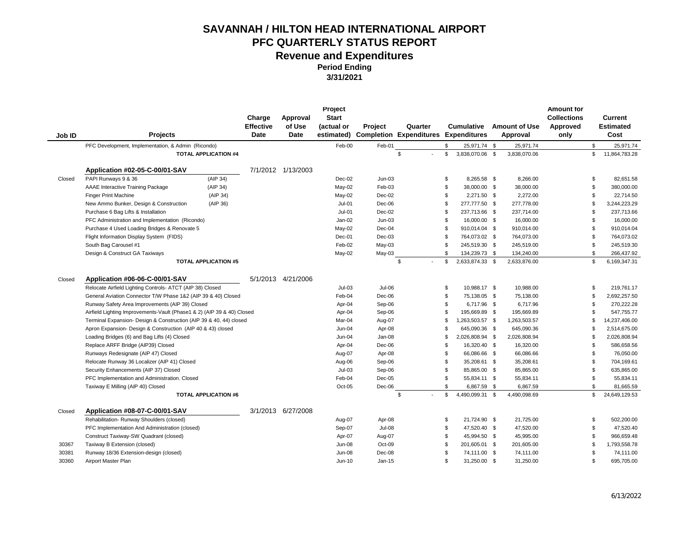**Period Ending** 

**3/31/2021**

| Job ID | <b>Projects</b>                                                        |                             | Charge<br><b>Effective</b><br>Date | Approval<br>of Use<br>Date | Project<br><b>Start</b><br>(actual or<br>estimated) | Project            | Quarter<br><b>Completion Expenditures Expenditures</b> |                | <b>Cumulative</b> | <b>Amount of Use</b><br>Approval | <b>Amount for</b><br><b>Collections</b><br>Approved<br>only |                    | Current<br><b>Estimated</b><br>Cost |
|--------|------------------------------------------------------------------------|-----------------------------|------------------------------------|----------------------------|-----------------------------------------------------|--------------------|--------------------------------------------------------|----------------|-------------------|----------------------------------|-------------------------------------------------------------|--------------------|-------------------------------------|
|        | PFC Development, Implementation, & Admin (Ricondo)                     |                             |                                    |                            | Feb-00                                              | Feb-01             |                                                        | \$             | 25,971.74 \$      | 25,971.74                        |                                                             | \$                 | 25,971.74                           |
|        |                                                                        | <b>TOTAL APPLICATION #4</b> |                                    |                            |                                                     |                    | \$                                                     | \$             | 3,838,070.06 \$   | 3,838,070.06                     |                                                             | \$                 | 11,864,783.28                       |
|        |                                                                        |                             |                                    |                            |                                                     |                    |                                                        |                |                   |                                  |                                                             |                    |                                     |
|        | Application #02-05-C-00/01-SAV                                         |                             |                                    | 7/1/2012 1/13/2003         |                                                     |                    |                                                        |                |                   |                                  |                                                             |                    |                                     |
| Closed | PAPI Runways 9 & 36                                                    | (AIP 34)                    |                                    |                            | Dec-02                                              | $Jun-03$           |                                                        | \$             | 8.265.58 \$       | 8,266.00                         |                                                             | \$                 | 82,651.58                           |
|        | AAAE Interactive Training Package                                      | (AIP 34)                    |                                    |                            | May-02                                              | Feb-03             |                                                        | \$             | 38,000.00 \$      | 38,000.00                        |                                                             | \$                 | 380,000.00                          |
|        | <b>Finger Print Machine</b>                                            | (AIP 34)                    |                                    |                            | May-02                                              | Dec-02             |                                                        | \$             | 2,271.50 \$       | 2.272.00                         |                                                             | \$                 | 22.714.50                           |
|        | New Ammo Bunker, Design & Construction                                 | (AIP 36)                    |                                    |                            | $Jul-01$                                            | Dec-06             |                                                        | \$             | 277,777.50 \$     | 277,778.00                       |                                                             | $\mathfrak{L}$     | 3,244,223.29                        |
|        | Purchase 6 Bag Lifts & Installation                                    |                             |                                    |                            | $Jul-01$                                            | Dec-02             |                                                        | \$             | 237,713.66 \$     | 237,714.00                       |                                                             | \$                 | 237,713.66                          |
|        | PFC Administration and Implementation (Ricondo)                        |                             |                                    |                            | Jan-02                                              | $Jun-03$           |                                                        | \$             | 16,000.00 \$      | 16,000.00                        |                                                             | \$                 | 16,000.00                           |
|        | Purchase 4 Used Loading Bridges & Renovate 5                           |                             |                                    |                            | May-02                                              | Dec-04             |                                                        | <sup>\$</sup>  | 910,014.04 \$     | 910,014.00                       |                                                             | $\mathfrak{L}$     | 910,014.04                          |
|        | Flight Information Display System (FIDS)                               |                             |                                    |                            | Dec-01                                              | $Dec-03$           |                                                        | \$             | 764,073.02 \$     | 764,073.00                       |                                                             | \$                 | 764,073.02                          |
|        | South Bag Carousel #1                                                  |                             |                                    |                            | Feb-02                                              | May-03             |                                                        | \$             | 245,519.30 \$     | 245,519.00                       |                                                             | \$                 | 245,519.30                          |
|        | Design & Construct GA Taxiways                                         |                             |                                    |                            | May-02                                              | May-03             |                                                        | $\mathfrak{L}$ | 134,239.73 \$     | 134,240.00                       |                                                             | $\mathbf{\hat{s}}$ | 266,437.92                          |
|        |                                                                        | <b>TOTAL APPLICATION #5</b> |                                    |                            |                                                     |                    | \$                                                     | \$             | 2,633,874.33 \$   | 2,633,876.00                     |                                                             | \$                 | 6,169,347.31                        |
|        | Application #06-06-C-00/01-SAV                                         |                             |                                    | 5/1/2013 4/21/2006         |                                                     |                    |                                                        |                |                   |                                  |                                                             |                    |                                     |
| Closed | Relocate Airfield Lighting Controls- ATCT (AIP 38) Closed              |                             |                                    |                            | $Jul-03$                                            | Jul-06             |                                                        | \$             | 10,988.17 \$      | 10,988.00                        |                                                             | \$.                | 219,761.17                          |
|        | General Aviation Connector T/W Phase 1&2 (AIP 39 & 40) Closed          |                             |                                    |                            | Feb-04                                              | Dec-06             |                                                        | \$             | 75,138.05 \$      | 75,138.00                        |                                                             | \$                 | 2,692,257.50                        |
|        | Runway Safety Area Improvements (AIP 39) Closed                        |                             |                                    |                            | Apr-04                                              | Sep-06             |                                                        | \$             | 6,717.96 \$       | 6,717.96                         |                                                             | \$                 | 270,222.28                          |
|        | Airfield Lighting Improvements-Vault (Phase1 & 2) (AIP 39 & 40) Closed |                             |                                    |                            | Apr-04                                              | Sep-06             |                                                        | \$             | 195,669.89 \$     | 195,669.89                       |                                                             | \$                 | 547,755.77                          |
|        | Terminal Expansion- Design & Construction (AIP 39 & 40, 44) closed     |                             |                                    |                            | Mar-04                                              | Aug-07             |                                                        | \$             | 1,263,503.57 \$   | 1,263,503.57                     |                                                             | $\mathfrak{L}$     | 14,237,406.00                       |
|        | Apron Expansion- Design & Construction (AIP 40 & 43) closed            |                             |                                    |                            | Jun-04                                              | Apr-08             |                                                        | \$             | 645.090.36 \$     | 645.090.36                       |                                                             | \$                 | 2,514,675.00                        |
|        | Loading Bridges (6) and Bag Lifts (4) Closed                           |                             |                                    |                            | Jun-04                                              | Jan-08             |                                                        | \$             | 2,026,808.94 \$   | 2,026,808.94                     |                                                             | $\mathfrak{L}$     | 2,026,808.94                        |
|        | Replace ARFF Bridge (AIP39) Closed                                     |                             |                                    |                            | Apr-04                                              | Dec-06             |                                                        | \$             | 16,320.40 \$      | 16,320.00                        |                                                             | \$                 | 586,658.56                          |
|        | Runways Redesignate (AIP 47) Closed                                    |                             |                                    |                            | Aug-07                                              | Apr-08             |                                                        | \$             | 66,086.66 \$      | 66,086.66                        |                                                             | \$                 | 76,050.00                           |
|        | Relocate Runway 36 Localizer (AIP 41) Closed                           |                             |                                    |                            |                                                     | Sep-06             |                                                        | \$             | 35,208.61 \$      | 35,208.61                        |                                                             | \$                 | 704,169.61                          |
|        | Security Enhancements (AIP 37) Closed                                  |                             |                                    |                            | Aug-06<br>$Jul-03$                                  |                    |                                                        | \$             | 85,865.00 \$      | 85,865.00                        |                                                             | \$                 | 635,865.00                          |
|        | PFC Implementation and Administration. Closed                          |                             |                                    |                            | Feb-04                                              | Sep-06<br>$Dec-05$ |                                                        | \$             | 55,834.11 \$      | 55,834.11                        |                                                             | \$                 | 55,834.11                           |
|        | Taxiway E Milling (AIP 40) Closed                                      |                             |                                    |                            | Oct-05                                              | Dec-06             |                                                        | $\mathfrak{L}$ | 6,867.59 \$       | 6,867.59                         |                                                             | $\mathfrak{L}$     | 81,665.59                           |
|        |                                                                        | <b>TOTAL APPLICATION #6</b> |                                    |                            |                                                     |                    | \$                                                     | \$             | 4,490,099.31 \$   | 4,490,098.69                     |                                                             | \$                 | 24,649,129.53                       |
|        |                                                                        |                             |                                    |                            |                                                     |                    |                                                        |                |                   |                                  |                                                             |                    |                                     |
| Closed | Application #08-07-C-00/01-SAV                                         |                             |                                    | 3/1/2013 6/27/2008         |                                                     |                    |                                                        |                |                   |                                  |                                                             |                    |                                     |
|        | Rehabilitation-Runway Shoulders (closed)                               |                             |                                    |                            | Aug-07                                              | Apr-08             |                                                        | \$             | 21,724.90 \$      | 21,725.00                        |                                                             | \$                 | 502,200.00                          |
|        | PFC Implementation And Administration (closed)                         |                             |                                    |                            | Sep-07                                              | <b>Jul-08</b>      |                                                        | \$             | 47,520.40 \$      | 47,520.00                        |                                                             | \$                 | 47,520.40                           |
|        | Construct Taxiway-SW Quadrant (closed)                                 |                             |                                    |                            | Apr-07                                              | Aug-07             |                                                        | \$             | 45,994.50 \$      | 45,995.00                        |                                                             | \$                 | 966,659.48                          |
| 30367  | Taxiway B Extension (closed)                                           |                             |                                    |                            | Jun-08                                              | Oct-09             |                                                        | \$             | 201,605.01 \$     | 201,605.00                       |                                                             | \$                 | 1,793,558.78                        |
| 30381  | Runway 18/36 Extension-design (closed)                                 |                             |                                    |                            | <b>Jun-08</b>                                       | Dec-08             |                                                        | \$             | 74,111.00 \$      | 74,111.00                        |                                                             | £.                 | 74,111.00                           |
| 30360  | Airport Master Plan                                                    |                             |                                    |                            | Jun-10                                              | $Jan-15$           |                                                        | \$             | 31,250.00 \$      | 31,250.00                        |                                                             | \$                 | 695,705.00                          |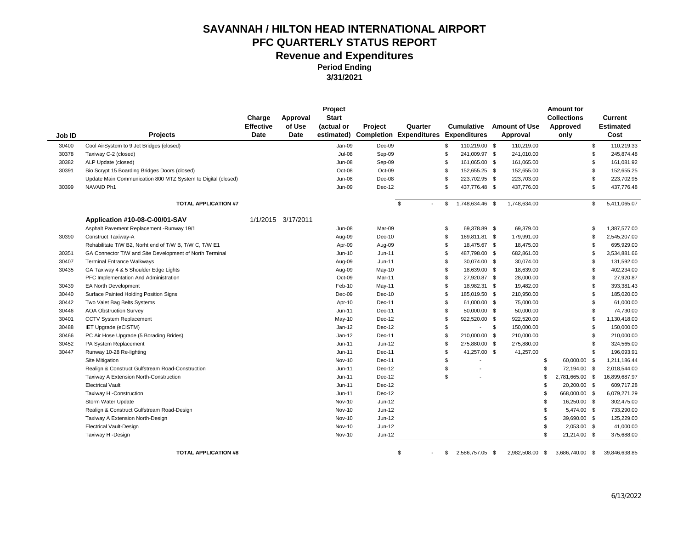**Period Ending** 

**3/31/2021**

|        |                                                              | Charge<br><b>Effective</b> | Approval<br>of Use | Project<br><b>Start</b><br>(actual or | <b>Project</b> | Quarter                            |                | <b>Cumulative</b>   | <b>Amount of Use</b> | <b>Amount for</b><br><b>Collections</b><br>Approved |                | Current<br><b>Estimated</b> |
|--------|--------------------------------------------------------------|----------------------------|--------------------|---------------------------------------|----------------|------------------------------------|----------------|---------------------|----------------------|-----------------------------------------------------|----------------|-----------------------------|
| Job ID | <b>Projects</b>                                              | <b>Date</b>                | Date               |                                       |                | estimated) Completion Expenditures |                | <b>Expenditures</b> | Approval             | only                                                |                | Cost                        |
| 30400  | Cool AirSystem to 9 Jet Bridges (closed)                     |                            |                    | Jan-09                                | $Dec-09$       |                                    | \$             | 110,219.00 \$       | 110,219.00           |                                                     | \$             | 110,219.33                  |
| 30378  | Taxiway C-2 (closed)                                         |                            |                    | Jul-08                                | Sep-09         |                                    | \$             | 241,009.97 \$       | 241,010.00           |                                                     | \$             | 245,874.48                  |
| 30382  | ALP Update (closed)                                          |                            |                    | <b>Jun-08</b>                         | Sep-09         |                                    | \$             | 161,065.00 \$       | 161,065.00           |                                                     | \$             | 161,081.92                  |
| 30391  | Bio Scrypt 15 Boarding Bridges Doors (closed)                |                            |                    | Oct-08                                | Oct-09         |                                    | \$             | 152,655.25 \$       | 152,655.00           |                                                     | \$             | 152,655.25                  |
|        | Update Main Communication 800 MTZ System to Digital (closed) |                            |                    | Jun-08                                | Dec-08         |                                    | \$             | 223,702.95 \$       | 223.703.00           |                                                     | $\mathfrak{L}$ | 223,702.95                  |
| 30399  | NAVAID Ph1                                                   |                            |                    | Jun-09                                | Dec-12         |                                    | \$             | 437,776.48 \$       | 437,776.00           |                                                     | \$             | 437,776.48                  |
|        | <b>TOTAL APPLICATION #7</b>                                  |                            |                    |                                       |                | \$                                 | \$             | 1,748,634.46 \$     | 1,748,634.00         |                                                     | \$             | 5,411,065.07                |
|        | Application #10-08-C-00/01-SAV                               |                            | 1/1/2015 3/17/2011 |                                       |                |                                    |                |                     |                      |                                                     |                |                             |
|        | Asphalt Pavement Replacement - Runway 19/1                   |                            |                    | Jun-08                                | Mar-09         |                                    | \$             | 69,378.89 \$        | 69.379.00            |                                                     | \$             | 1,387,577.00                |
| 30390  | Construct Taxiway-A                                          |                            |                    | Aug-09                                | $Dec-10$       |                                    | \$             | 169,811.81 \$       | 179,991.00           |                                                     | \$             | 2,545,207.00                |
|        | Rehabilitate T/W B2, Norht end of T/W B, T/W C, T/W E1       |                            |                    | Apr-09                                | Aug-09         |                                    | \$             | 18,475.67 \$        | 18,475.00            |                                                     | \$             | 695,929.00                  |
| 30351  | GA Connector T/W and Site Development of North Terminal      |                            |                    | Jun-10                                | $Jun-11$       |                                    | \$             | 487,798.00 \$       | 682,861.00           |                                                     | \$             | 3,534,881.66                |
| 30407  | <b>Terminal Entrance Walkways</b>                            |                            |                    | Aug-09                                | $Jun-11$       |                                    | \$             | 30,074.00 \$        | 30,074.00            |                                                     | \$             | 131,592.00                  |
| 30435  | GA Taxiway 4 & 5 Shoulder Edge Lights                        |                            |                    | Aug-09                                | May-10         |                                    | $\mathfrak{L}$ | 18,639.00 \$        | 18,639.00            |                                                     | \$             | 402,234.00                  |
|        | PFC Implementation And Administration                        |                            |                    | Oct-09                                | Mar-11         |                                    | \$             | 27,920.87 \$        | 28,000.00            |                                                     | $\mathfrak{L}$ | 27,920.87                   |
| 30439  | <b>EA North Development</b>                                  |                            |                    | Feb-10                                | May-11         |                                    | \$             | 18,982.31 \$        | 19,482.00            |                                                     | \$             | 393,381.43                  |
| 30440  | Surface Painted Holding Position Signs                       |                            |                    | Dec-09                                | $Dec-10$       |                                    | \$             | 185,019.50 \$       | 210,950.00           |                                                     | \$             | 185,020.00                  |
| 30442  | Two Valet Bag Belts Systems                                  |                            |                    | Apr-10                                | Dec-11         |                                    | \$             | 61,000.00 \$        | 75,000.00            |                                                     | \$             | 61,000.00                   |
| 30446  | <b>AOA Obstruction Survey</b>                                |                            |                    | Jun-11                                | Dec-11         |                                    | \$             | 50,000.00 \$        | 50,000.00            |                                                     | \$             | 74,730.00                   |
| 30401  | CCTV System Replacement                                      |                            |                    | May-10                                | $Dec-12$       |                                    | \$             | 922,520.00 \$       | 922,520.00           |                                                     | \$             | 1,130,418.00                |
| 30488  | IET Upgrade (eCISTM)                                         |                            |                    | $Jan-12$                              | Dec-12         |                                    | \$             | $\sim 100$          | \$<br>150,000.00     |                                                     | \$             | 150,000.00                  |
| 30466  | PC Air Hose Upgrade (5 Borading Brides)                      |                            |                    | $Jan-12$                              | Dec-11         |                                    | \$             | 210,000.00 \$       | 210,000.00           |                                                     | \$             | 210,000.00                  |
| 30452  | PA System Replacement                                        |                            |                    | Jun-11                                | Jun-12         |                                    | \$             | 275,880.00 \$       | 275,880.00           |                                                     | \$             | 324,565.00                  |
| 30447  | Runway 10-28 Re-lighting                                     |                            |                    | Jun-11                                | Dec-11         |                                    | \$             | 41,257.00 \$        | 41,257.00            |                                                     | \$             | 196,093.91                  |
|        | Site Mitigation                                              |                            |                    | Nov-10                                | Dec-11         |                                    | \$             |                     |                      | \$<br>60,000.00 \$                                  |                | 1,211,186.44                |
|        | Realign & Construct Gulfstream Road-Construction             |                            |                    | Jun-11                                | Dec-12         |                                    | \$             |                     |                      | \$<br>72,194.00 \$                                  |                | 2,018,544.00                |
|        | Taxiway A Extension North-Construction                       |                            |                    | Jun-11                                | $Dec-12$       |                                    | $\mathfrak{L}$ |                     |                      | \$<br>2,781,665.00 \$                               |                | 16,899,687.97               |
|        | <b>Electrical Vault</b>                                      |                            |                    | Jun-11                                | Dec-12         |                                    |                |                     |                      | \$<br>20,200.00 \$                                  |                | 609,717.28                  |
|        | Taxiway H -Construction                                      |                            |                    | Jun-11                                | Dec-12         |                                    |                |                     |                      | \$<br>668,000.00 \$                                 |                | 6,079,271.29                |
|        | Storm Water Update                                           |                            |                    | <b>Nov-10</b>                         | Jun-12         |                                    |                |                     |                      | \$<br>16,250.00 \$                                  |                | 302,475.00                  |
|        | Realign & Construct Gulfstream Road-Design                   |                            |                    | <b>Nov-10</b>                         | Jun-12         |                                    |                |                     |                      | \$<br>5,474.00 \$                                   |                | 733,290.00                  |
|        | Taxiway A Extension North-Design                             |                            |                    | <b>Nov-10</b>                         | $Jun-12$       |                                    |                |                     |                      | \$<br>39,690.00 \$                                  |                | 125,229.00                  |
|        | <b>Electrical Vault-Design</b>                               |                            |                    | <b>Nov-10</b>                         | Jun-12         |                                    |                |                     |                      | \$<br>2,053.00 \$                                   |                | 41,000.00                   |
|        | Taxiway H -Design                                            |                            |                    | <b>Nov-10</b>                         | $Jun-12$       |                                    |                |                     |                      | \$<br>21,214.00 \$                                  |                | 375,688.00                  |

**TOTAL APPLICATION #8**  $\qquad \qquad \qquad$  5 2,586,757.05 \$ 2,982,508.00 \$ 3,686,740.00 \$ 39,846,638.85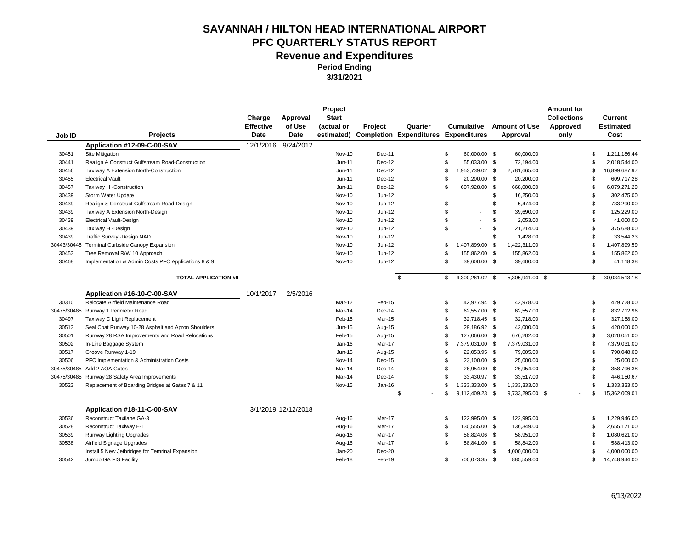| Job ID      | <b>Projects</b>                                     | Charge<br><b>Effective</b><br><b>Date</b> | Approval<br>of Use<br>Date | Project<br><b>Start</b><br>(actual or | Project  | Quarter<br>estimated) Completion Expenditures Expenditures |                | <b>Cumulative</b>        | <b>Amount of Use</b><br>Approval | <b>Amount for</b><br><b>Collections</b><br>Approved<br>only |                | Current<br><b>Estimated</b><br>Cost |
|-------------|-----------------------------------------------------|-------------------------------------------|----------------------------|---------------------------------------|----------|------------------------------------------------------------|----------------|--------------------------|----------------------------------|-------------------------------------------------------------|----------------|-------------------------------------|
|             | Application #12-09-C-00-SAV                         | 12/1/2016                                 | 9/24/2012                  |                                       |          |                                                            |                |                          |                                  |                                                             |                |                                     |
| 30451       | Site Mitigation                                     |                                           |                            | Nov-10                                | Dec-11   |                                                            | \$             | 60,000.00 \$             | 60,000.00                        |                                                             | \$             | 1,211,186.44                        |
| 30441       | Realign & Construct Gulfstream Road-Construction    |                                           |                            | Jun-11                                | Dec-12   |                                                            | \$             | 55,033.00 \$             | 72,194.00                        |                                                             | \$             | 2,018,544.00                        |
| 30456       | Taxiway A Extension North-Construction              |                                           |                            | $Jun-11$                              | Dec-12   |                                                            | \$             | 1,953,739.02 \$          | 2,781,665.00                     |                                                             | \$             | 16,899,687.97                       |
| 30455       | <b>Electrical Vault</b>                             |                                           |                            | Jun-11                                | Dec-12   |                                                            | \$             | 20,200.00 \$             | 20,200.00                        |                                                             | \$             | 609,717.28                          |
| 30457       | Taxiway H -Construction                             |                                           |                            | $Jun-11$                              | Dec-12   |                                                            | \$             | 607,928.00 \$            | 668,000.00                       |                                                             | \$             | 6,079,271.29                        |
| 30439       | Storm Water Update                                  |                                           |                            | <b>Nov-10</b>                         | Jun-12   |                                                            |                |                          | \$<br>16,250.00                  |                                                             | \$             | 302,475.00                          |
| 30439       | Realign & Construct Gulfstream Road-Design          |                                           |                            | <b>Nov-10</b>                         | Jun-12   |                                                            | \$             | $\overline{\phantom{a}}$ | \$<br>5,474.00                   |                                                             | \$             | 733,290.00                          |
| 30439       | Taxiway A Extension North-Design                    |                                           |                            | <b>Nov-10</b>                         | Jun-12   |                                                            | \$             |                          | \$<br>39,690.00                  |                                                             | \$             | 125,229.00                          |
| 30439       | <b>Electrical Vault-Design</b>                      |                                           |                            | <b>Nov-10</b>                         | Jun-12   |                                                            | \$             | $\overline{\phantom{a}}$ | \$<br>2,053.00                   |                                                             | \$             | 41,000.00                           |
| 30439       | Taxiway H -Design                                   |                                           |                            | Nov-10                                | Jun-12   |                                                            | \$             | $\overline{\phantom{a}}$ | \$<br>21,214.00                  |                                                             | \$             | 375,688.00                          |
| 30439       | Traffic Survey - Design NAD                         |                                           |                            | <b>Nov-10</b>                         | Jun-12   |                                                            |                |                          | \$<br>1,428.00                   |                                                             | \$             | 33,544.23                           |
| 30443/30445 | Terminal Curbside Canopy Expansion                  |                                           |                            | <b>Nov-10</b>                         | Jun-12   |                                                            | \$             | 1,407,899.00 \$          | 1,422,311.00                     |                                                             | \$             | 1,407,899.59                        |
| 30453       | Tree Removal R/W 10 Approach                        |                                           |                            | <b>Nov-10</b>                         | Jun-12   |                                                            | \$             | 155,862.00 \$            | 155,862.00                       |                                                             | \$             | 155,862.00                          |
| 30468       | Implementation & Admin Costs PFC Applications 8 & 9 |                                           |                            | Nov-10                                | Jun-12   |                                                            | \$             | 39,600.00 \$             | 39,600.00                        |                                                             | \$             | 41,118.38                           |
|             | <b>TOTAL APPLICATION #9</b>                         |                                           |                            |                                       |          | \$                                                         | \$             | 4,300,261.02 \$          | 5,305,941.00 \$                  |                                                             | \$             | 30,034,513.18                       |
|             | Application #16-10-C-00-SAV                         | 10/1/2017                                 | 2/5/2016                   |                                       |          |                                                            |                |                          |                                  |                                                             |                |                                     |
| 30310       | Relocate Airfield Maintenance Road                  |                                           |                            | Mar-12                                | Feb-15   |                                                            | \$             | 42,977.94 \$             | 42,978.00                        |                                                             | \$             | 429,728.00                          |
| 30475/30485 | Runway 1 Perimeter Road                             |                                           |                            | Mar-14                                | Dec-14   |                                                            | \$             | 62,557.00 \$             | 62,557.00                        |                                                             | \$             | 832,712.96                          |
| 30497       | Taxiway C Light Replacement                         |                                           |                            | Feb-15                                | Mar-15   |                                                            | \$             | 32,718.45 \$             | 32,718.00                        |                                                             | \$             | 327,158.00                          |
| 30513       | Seal Coat Runway 10-28 Asphalt and Apron Shoulders  |                                           |                            | Jun-15                                | Aug-15   |                                                            | \$             | 29,186.92 \$             | 42,000.00                        |                                                             | \$             | 420,000.00                          |
| 30501       | Runway 28 RSA Improvements and Road Relocations     |                                           |                            | Feb-15                                | Aug-15   |                                                            | \$             | 127,066.00 \$            | 676,202.00                       |                                                             | \$             | 3,020,051.00                        |
| 30502       | In-Line Baggage System                              |                                           |                            | $Jan-16$                              | Mar-17   |                                                            | \$             | 7,379,031.00 \$          | 7,379,031.00                     |                                                             | \$             | 7,379,031.00                        |
| 30517       | Groove Runway 1-19                                  |                                           |                            | Jun-15                                | Aug-15   |                                                            | \$             | 22,053.95 \$             | 79,005.00                        |                                                             | \$             | 790,048.00                          |
| 30506       | PFC Implementation & Administration Costs           |                                           |                            | Nov-14                                | Dec-15   |                                                            | \$             | 23,100.00 \$             | 25,000.00                        |                                                             | \$             | 25,000.00                           |
| 30475/30485 | Add 2 AOA Gates                                     |                                           |                            | Mar-14                                | Dec-14   |                                                            | \$             | 26,954.00 \$             | 26,954.00                        |                                                             | \$             | 358,796.38                          |
| 30475/30485 | Runway 28 Safety Area Improvements                  |                                           |                            | Mar-14                                | $Dec-14$ |                                                            | $\mathfrak{L}$ | 33,430.97 \$             | 33,517.00                        |                                                             | $\mathfrak{L}$ | 446,150.67                          |
| 30523       | Replacement of Boarding Bridges at Gates 7 & 11     |                                           |                            | Nov-15                                | Jan-16   |                                                            | \$             | 1,333,333.00 \$          | 1,333,333.00                     |                                                             | \$             | 1,333,333.00                        |
|             |                                                     |                                           |                            |                                       |          | \$                                                         | \$             | 9,112,409.23 \$          | 9,733,295.00 \$                  |                                                             | \$             | 15,362,009.01                       |
|             | Application #18-11-C-00-SAV                         |                                           | 3/1/2019 12/12/2018        |                                       |          |                                                            |                |                          |                                  |                                                             |                |                                     |
| 30536       | Reconstruct Taxilane GA-3                           |                                           |                            | Aug-16                                | Mar-17   |                                                            | S              | 122,995.00 \$            | 122,995.00                       |                                                             | S              | 1,229,946.00                        |
| 30528       | Reconstruct Taxiway E-1                             |                                           |                            | Aug-16                                | Mar-17   |                                                            | \$             | 130,555.00 \$            | 136,349.00                       |                                                             | \$             | 2,655,171.00                        |
| 30539       | Runway Lighting Upgrades                            |                                           |                            | Aug-16                                | Mar-17   |                                                            | \$             | 58,824.06 \$             | 58,951.00                        |                                                             | \$             | 1,080,621.00                        |
| 30538       | Airfield Signage Upgrades                           |                                           |                            | Aug-16                                | Mar-17   |                                                            | \$             | 58,841.00 \$             | 58,842.00                        |                                                             | \$             | 588,413.00                          |
|             | Install 5 New Jetbridges for Temrinal Expansion     |                                           |                            | Jan-20                                | Dec-20   |                                                            |                |                          | \$<br>4,000,000.00               |                                                             | \$             | 4,000,000.00                        |
| 30542       | Jumbo GA FIS Facility                               |                                           |                            | Feb-18                                | Feb-19   |                                                            | \$             | 700,073.35 \$            | 885,559.00                       |                                                             | \$             | 14,748,944.00                       |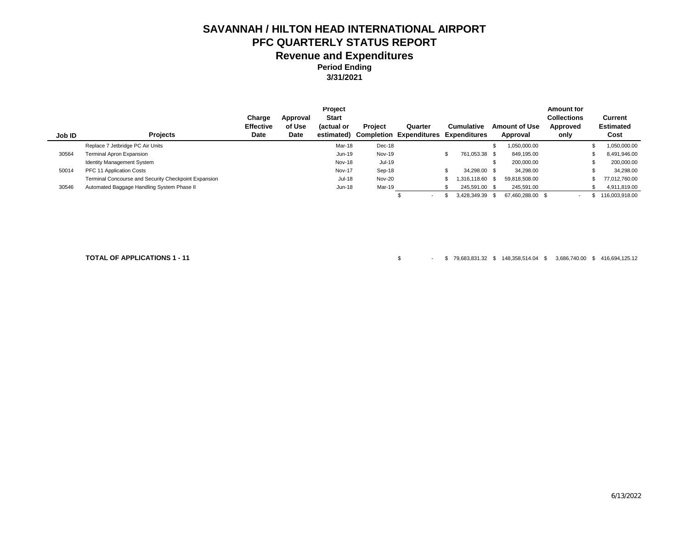**3/31/2021**

|        |                                                      |                  |             | Project      |                |                                |     |                     |      |                      | <b>Amount for</b>        |                  |
|--------|------------------------------------------------------|------------------|-------------|--------------|----------------|--------------------------------|-----|---------------------|------|----------------------|--------------------------|------------------|
|        |                                                      | Charge           | Approval    | <b>Start</b> |                |                                |     |                     |      |                      | <b>Collections</b>       | Current          |
|        |                                                      | <b>Effective</b> | of Use      | (actual or   | <b>Project</b> | Quarter                        |     | <b>Cumulative</b>   |      | <b>Amount of Use</b> | Approved                 | <b>Estimated</b> |
| Job ID | <b>Projects</b>                                      | Date             | <b>Date</b> | estimated)   |                | <b>Completion Expenditures</b> |     | <b>Expenditures</b> |      | Approval             | only                     | Cost             |
|        | Replace 7 Jetbridge PC Air Units                     |                  |             | Mar-18       | Dec-18         |                                |     |                     |      | 050,000.00           |                          | 1,050,000.00     |
| 30564  | Terminal Apron Expansion                             |                  |             | Jun-19       | <b>Nov-19</b>  |                                | \$. | 761,053.38 \$       |      | 849,195.00           |                          | 8,491,946.00     |
|        | Identity Management System                           |                  |             | Nov-18       | Jul-19         |                                |     |                     | \$   | 200,000.00           |                          | 200,000.00       |
| 50014  | PFC 11 Application Costs                             |                  |             | Nov-17       | Sep-18         |                                |     | 34,298.00 \$        |      | 34.298.00            |                          | 34.298.00        |
|        | Terminal Concourse and Security Checkpoint Expansion |                  |             | Jul-18       | Nov-20         |                                |     | 1.316.118.60 \$     |      | 59.818.508.00        |                          | 77.012.760.00    |
| 30546  | Automated Baggage Handling System Phase II           |                  |             | Jun-18       | Mar-19         |                                |     | 245,591.00 \$       |      | 245,591.00           |                          | 4,911,819.00     |
|        |                                                      |                  |             |              |                | $\overline{\phantom{0}}$       |     | 3.428.349.39        | - \$ | 67.460.288.00 \$     | $\overline{\phantom{a}}$ | 116.003.918.00   |

**TOTAL OF APPLICATIONS 1 - 11** \$ - \$ 79,683,831.32 \$ 148,358,514.04 \$ 3,686,740.00 \$ 416,694,125.12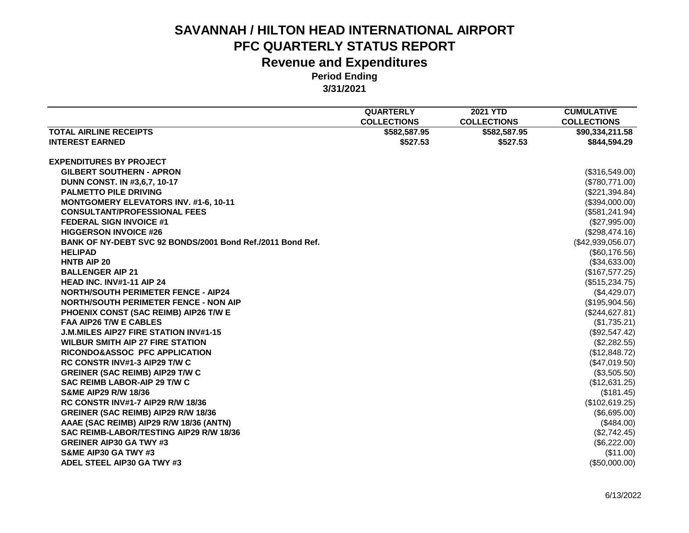|                                                            | <b>QUARTERLY</b>   | <b>2021 YTD</b>    | <b>CUMULATIVE</b>  |
|------------------------------------------------------------|--------------------|--------------------|--------------------|
|                                                            | <b>COLLECTIONS</b> | <b>COLLECTIONS</b> | <b>COLLECTIONS</b> |
| <b>TOTAL AIRLINE RECEIPTS</b>                              | \$582,587.95       | \$582,587.95       | \$90,334,211.58    |
| <b>INTEREST EARNED</b>                                     | \$527.53           | \$527.53           | \$844,594,29       |
|                                                            |                    |                    |                    |
| <b>EXPENDITURES BY PROJECT</b>                             |                    |                    |                    |
| <b>GILBERT SOUTHERN - APRON</b>                            |                    |                    | (\$316,549.00)     |
| DUNN CONST. IN #3,6,7, 10-17                               |                    |                    | (\$780,771.00)     |
| <b>PALMETTO PILE DRIVING</b>                               |                    |                    | (\$221,394.84)     |
| <b>MONTGOMERY ELEVATORS INV. #1-6, 10-11</b>               |                    |                    | (\$394,000.00)     |
| <b>CONSULTANT/PROFESSIONAL FEES</b>                        |                    |                    | (\$581, 241.94)    |
| <b>FEDERAL SIGN INVOICE #1</b>                             |                    |                    | (\$27,995.00)      |
| <b>HIGGERSON INVOICE #26</b>                               |                    |                    | (\$298,474.16)     |
| BANK OF NY-DEBT SVC 92 BONDS/2001 Bond Ref./2011 Bond Ref. |                    |                    | (\$42,939,056.07)  |
| <b>HELIPAD</b>                                             |                    |                    | (\$60,176.56)      |
| <b>HNTB AIP 20</b>                                         |                    |                    | (\$34,633.00)      |
| <b>BALLENGER AIP 21</b>                                    |                    |                    | (\$167,577.25)     |
| <b>HEAD INC. INV#1-11 AIP 24</b>                           |                    |                    | (\$515,234.75)     |
| <b>NORTH/SOUTH PERIMETER FENCE - AIP24</b>                 |                    |                    | (\$4,429.07)       |
| <b>NORTH/SOUTH PERIMETER FENCE - NON AIP</b>               |                    |                    | (\$195,904.56)     |
| PHOENIX CONST (SAC REIMB) AIP26 T/W E                      |                    |                    | (\$244,627.81)     |
| <b>FAA AIP26 T/W E CABLES</b>                              |                    |                    | (\$1,735.21)       |
| <b>J.M.MILES AIP27 FIRE STATION INV#1-15</b>               |                    |                    | (\$92,547.42)      |
| <b>WILBUR SMITH AIP 27 FIRE STATION</b>                    |                    |                    | (\$2,282.55)       |
| RICONDO&ASSOC PFC APPLICATION                              |                    |                    | (\$12,848.72)      |
| RC CONSTR INV#1-3 AIP29 T/W C                              |                    |                    | (\$47,019.50)      |
| <b>GREINER (SAC REIMB) AIP29 T/W C</b>                     |                    |                    | (\$3,505.50)       |
| SAC REIMB LABOR-AIP 29 T/W C                               |                    |                    | (\$12,631.25)      |
| <b>S&amp;ME AIP29 R/W 18/36</b>                            |                    |                    | (\$181.45)         |
| <b>RC CONSTR INV#1-7 AIP29 R/W 18/36</b>                   |                    |                    | (\$102,619.25)     |
| GREINER (SAC REIMB) AIP29 R/W 18/36                        |                    |                    | (\$6,695.00)       |
| AAAE (SAC REIMB) AIP29 R/W 18/36 (ANTN)                    |                    |                    | (\$484.00)         |
|                                                            |                    |                    |                    |
| SAC REIMB-LABOR/TESTING AIP29 R/W 18/36                    |                    |                    | (\$2,742.45)       |
| <b>GREINER AIP30 GA TWY #3</b>                             |                    |                    | (\$6,222.00)       |
| <b>S&amp;ME AIP30 GA TWY #3</b>                            |                    |                    | (\$11.00)          |
| ADEL STEEL AIP30 GA TWY #3                                 |                    |                    | (\$50,000.00)      |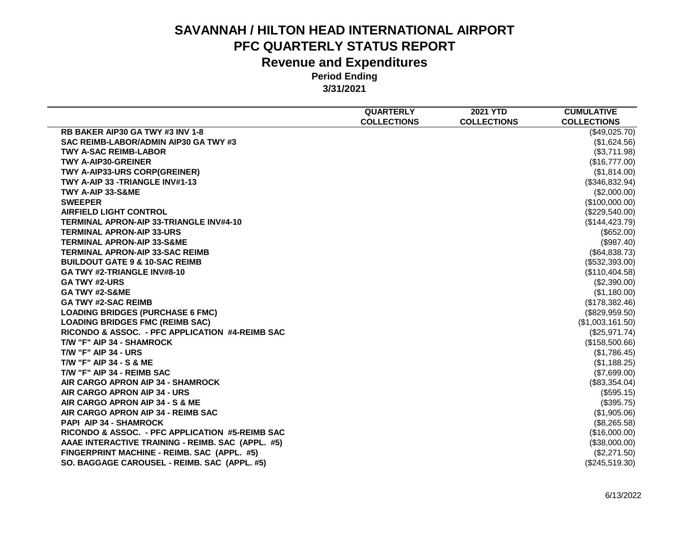|                                                   | <b>QUARTERLY</b>   | <b>2021 YTD</b>    | <b>CUMULATIVE</b>  |
|---------------------------------------------------|--------------------|--------------------|--------------------|
|                                                   | <b>COLLECTIONS</b> | <b>COLLECTIONS</b> | <b>COLLECTIONS</b> |
| RB BAKER AIP30 GA TWY #3 INV 1-8                  |                    |                    | (\$49,025.70)      |
| SAC REIMB-LABOR/ADMIN AIP30 GA TWY #3             |                    |                    | (\$1,624.56)       |
| <b>TWY A-SAC REIMB-LABOR</b>                      |                    |                    | (\$3,711.98)       |
| <b>TWY A-AIP30-GREINER</b>                        |                    |                    | (\$16,777.00)      |
| TWY A-AIP33-URS CORP(GREINER)                     |                    |                    | (\$1,814.00)       |
| TWY A-AIP 33 -TRIANGLE INV#1-13                   |                    |                    | (\$346,832.94)     |
| TWY A-AIP 33-S&ME                                 |                    |                    | (\$2,000.00)       |
| <b>SWEEPER</b>                                    |                    |                    | (\$100,000.00)     |
| <b>AIRFIELD LIGHT CONTROL</b>                     |                    |                    | (\$229,540.00)     |
| TERMINAL APRON-AIP 33-TRIANGLE INV#4-10           |                    |                    | (\$144, 423.79)    |
| <b>TERMINAL APRON-AIP 33-URS</b>                  |                    |                    | (\$652.00)         |
| <b>TERMINAL APRON-AIP 33-S&amp;ME</b>             |                    |                    | (\$987.40)         |
| <b>TERMINAL APRON-AIP 33-SAC REIMB</b>            |                    |                    | (\$64,838.73)      |
| <b>BUILDOUT GATE 9 &amp; 10-SAC REIMB</b>         |                    |                    | (\$532,393.00)     |
| GA TWY #2-TRIANGLE INV#8-10                       |                    |                    | (\$110,404.58)     |
| <b>GA TWY #2-URS</b>                              |                    |                    | (\$2,390.00)       |
| <b>GA TWY #2-S&amp;ME</b>                         |                    |                    | (\$1,180.00)       |
| <b>GA TWY #2-SAC REIMB</b>                        |                    |                    | (\$178,382.46)     |
| <b>LOADING BRIDGES (PURCHASE 6 FMC)</b>           |                    |                    | (\$829,959.50)     |
| <b>LOADING BRIDGES FMC (REIMB SAC)</b>            |                    |                    | (\$1,003,161.50)   |
| RICONDO & ASSOC. - PFC APPLICATION #4-REIMB SAC   |                    |                    | (\$25,971.74)      |
| T/W "F" AIP 34 - SHAMROCK                         |                    |                    | (\$158,500.66)     |
| <b>T/W "F" AIP 34 - URS</b>                       |                    |                    | (\$1,786.45)       |
| <b>T/W "F" AIP 34 - S &amp; ME</b>                |                    |                    | (\$1,188.25)       |
| T/W "F" AIP 34 - REIMB SAC                        |                    |                    | (\$7,699.00)       |
| AIR CARGO APRON AIP 34 - SHAMROCK                 |                    |                    | $(\$83,354.04)$    |
| AIR CARGO APRON AIP 34 - URS                      |                    |                    | (\$595.15)         |
| AIR CARGO APRON AIP 34 - S & ME                   |                    |                    | (\$395.75)         |
| AIR CARGO APRON AIP 34 - REIMB SAC                |                    |                    | (\$1,905.06)       |
| <b>PAPI AIP 34 - SHAMROCK</b>                     |                    |                    | (\$8,265.58)       |
| RICONDO & ASSOC. - PFC APPLICATION #5-REIMB SAC   |                    |                    | (\$16,000.00)      |
| AAAE INTERACTIVE TRAINING - REIMB. SAC (APPL. #5) |                    |                    | (\$38,000.00)      |
| FINGERPRINT MACHINE - REIMB. SAC (APPL. #5)       |                    |                    | (\$2,271.50)       |
| SO. BAGGAGE CAROUSEL - REIMB. SAC (APPL. #5)      |                    |                    | (\$245,519.30)     |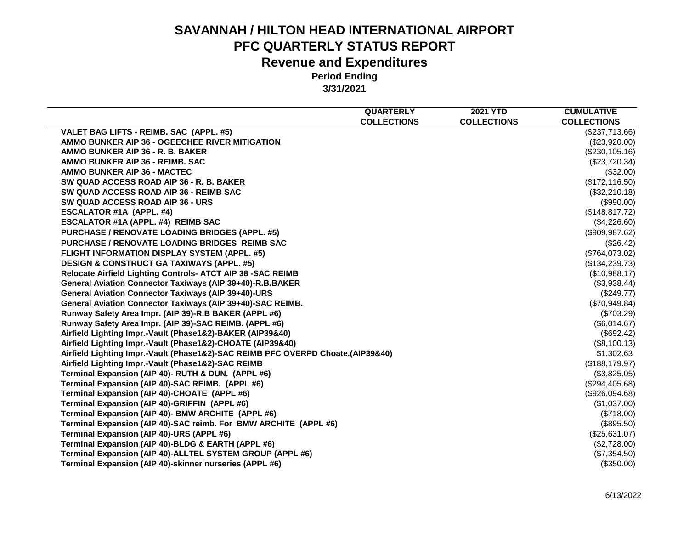|                                                                                 | <b>QUARTERLY</b>   | <b>2021 YTD</b>    | <b>CUMULATIVE</b>  |
|---------------------------------------------------------------------------------|--------------------|--------------------|--------------------|
|                                                                                 | <b>COLLECTIONS</b> | <b>COLLECTIONS</b> | <b>COLLECTIONS</b> |
| VALET BAG LIFTS - REIMB. SAC (APPL. #5)                                         |                    |                    | (\$237,713.66)     |
| AMMO BUNKER AIP 36 - OGEECHEE RIVER MITIGATION                                  |                    |                    | (\$23,920.00)      |
| AMMO BUNKER AIP 36 - R. B. BAKER                                                |                    |                    | (\$230,105.16)     |
| AMMO BUNKER AIP 36 - REIMB. SAC                                                 |                    |                    | (\$23,720.34)      |
| <b>AMMO BUNKER AIP 36 - MACTEC</b>                                              |                    |                    | (\$32.00)          |
| SW QUAD ACCESS ROAD AIP 36 - R. B. BAKER                                        |                    |                    | (\$172, 116.50)    |
| SW QUAD ACCESS ROAD AIP 36 - REIMB SAC                                          |                    |                    | (\$32,210.18)      |
| SW QUAD ACCESS ROAD AIP 36 - URS                                                |                    |                    | (\$990.00)         |
| <b>ESCALATOR #1A (APPL. #4)</b>                                                 |                    |                    | (\$148, 817.72)    |
| ESCALATOR #1A (APPL. #4) REIMB SAC                                              |                    |                    | (\$4,226.60)       |
| PURCHASE / RENOVATE LOADING BRIDGES (APPL. #5)                                  |                    |                    | (\$909, 987.62)    |
| PURCHASE / RENOVATE LOADING BRIDGES REIMB SAC                                   |                    |                    | (\$26.42)          |
| FLIGHT INFORMATION DISPLAY SYSTEM (APPL. #5)                                    |                    |                    | (\$764,073.02)     |
| <b>DESIGN &amp; CONSTRUCT GA TAXIWAYS (APPL. #5)</b>                            |                    |                    | (\$134,239.73)     |
| Relocate Airfield Lighting Controls- ATCT AIP 38 - SAC REIMB                    |                    |                    | (\$10,988.17)      |
| <b>General Aviation Connector Taxiways (AIP 39+40)-R.B.BAKER</b>                |                    |                    | (\$3,938.44)       |
| General Aviation Connector Taxiways (AIP 39+40)-URS                             |                    |                    | (\$249.77)         |
| General Aviation Connector Taxiways (AIP 39+40)-SAC REIMB.                      |                    |                    | (\$70,949.84)      |
| Runway Safety Area Impr. (AIP 39)-R.B BAKER (APPL #6)                           |                    |                    | (\$703.29)         |
| Runway Safety Area Impr. (AIP 39)-SAC REIMB. (APPL #6)                          |                    |                    | (\$6,014.67)       |
| Airfield Lighting Impr.-Vault (Phase1&2)-BAKER (AIP39&40)                       |                    |                    | (\$692.42)         |
| Airfield Lighting Impr.-Vault (Phase1&2)-CHOATE (AIP39&40)                      |                    |                    | (\$8,100.13)       |
| Airfield Lighting Impr.-Vault (Phase1&2)-SAC REIMB PFC OVERPD Choate.(AIP39&40) |                    |                    | \$1,302.63         |
| Airfield Lighting Impr.-Vault (Phase1&2)-SAC REIMB                              |                    |                    | (\$188, 179.97)    |
| Terminal Expansion (AIP 40)- RUTH & DUN. (APPL #6)                              |                    |                    | (\$3,825.05)       |
| Terminal Expansion (AIP 40)-SAC REIMB. (APPL #6)                                |                    |                    | (\$294,405.68)     |
| Terminal Expansion (AIP 40)-CHOATE (APPL #6)                                    |                    |                    | (\$926,094.68)     |
| Terminal Expansion (AIP 40)-GRIFFIN (APPL #6)                                   |                    |                    | (\$1,037.00)       |
| Terminal Expansion (AIP 40)- BMW ARCHITE (APPL #6)                              |                    |                    | (\$718.00)         |
| Terminal Expansion (AIP 40)-SAC reimb. For BMW ARCHITE (APPL #6)                |                    |                    | $(\$895.50)$       |
| Terminal Expansion (AIP 40)-URS (APPL #6)                                       |                    |                    | (\$25,631.07)      |
| Terminal Expansion (AIP 40)-BLDG & EARTH (APPL #6)                              |                    |                    | (\$2,728.00)       |
| Terminal Expansion (AIP 40)-ALLTEL SYSTEM GROUP (APPL #6)                       |                    |                    | (\$7,354.50)       |
| Terminal Expansion (AIP 40)-skinner nurseries (APPL #6)                         |                    |                    | (\$350.00)         |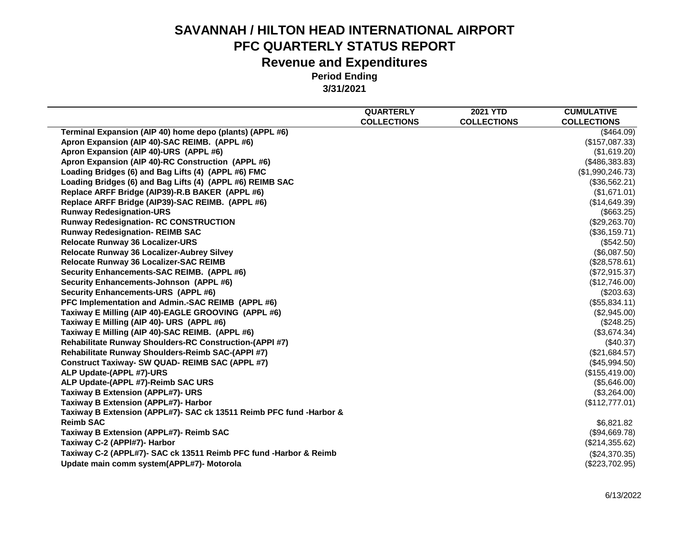|                                                                     | <b>QUARTERLY</b>   | <b>2021 YTD</b>    | <b>CUMULATIVE</b>  |
|---------------------------------------------------------------------|--------------------|--------------------|--------------------|
|                                                                     | <b>COLLECTIONS</b> | <b>COLLECTIONS</b> | <b>COLLECTIONS</b> |
| Terminal Expansion (AIP 40) home depo (plants) (APPL #6)            |                    |                    | (\$464.09)         |
| Apron Expansion (AIP 40)-SAC REIMB. (APPL #6)                       |                    |                    | (\$157,087.33)     |
| Apron Expansion (AIP 40)-URS (APPL #6)                              |                    |                    | (\$1,619.20)       |
| Apron Expansion (AIP 40)-RC Construction (APPL #6)                  |                    |                    | (\$486,383.83)     |
| Loading Bridges (6) and Bag Lifts (4) (APPL #6) FMC                 |                    |                    | (\$1,990,246.73)   |
| Loading Bridges (6) and Bag Lifts (4) (APPL #6) REIMB SAC           |                    |                    | (\$36,562.21)      |
| Replace ARFF Bridge (AIP39)-R.B BAKER (APPL #6)                     |                    |                    | (\$1,671.01)       |
| Replace ARFF Bridge (AIP39)-SAC REIMB. (APPL #6)                    |                    |                    | (\$14,649.39)      |
| <b>Runway Redesignation-URS</b>                                     |                    |                    | (\$663.25)         |
| <b>Runway Redesignation- RC CONSTRUCTION</b>                        |                    |                    | (\$29,263.70)      |
| <b>Runway Redesignation- REIMB SAC</b>                              |                    |                    | (\$36,159.71)      |
| <b>Relocate Runway 36 Localizer-URS</b>                             |                    |                    | (\$542.50)         |
| Relocate Runway 36 Localizer-Aubrey Silvey                          |                    |                    | (\$6,087.50)       |
| Relocate Runway 36 Localizer-SAC REIMB                              |                    |                    | (\$28,578.61)      |
| Security Enhancements-SAC REIMB. (APPL #6)                          |                    |                    | (\$72,915.37)      |
| Security Enhancements-Johnson (APPL #6)                             |                    |                    | (\$12,746.00)      |
| Security Enhancements-URS (APPL #6)                                 |                    |                    | (\$203.63)         |
| PFC Implementation and Admin.-SAC REIMB (APPL #6)                   |                    |                    | (\$55,834.11)      |
| Taxiway E Milling (AIP 40)-EAGLE GROOVING (APPL #6)                 |                    |                    | (\$2,945.00)       |
| Taxiway E Milling (AIP 40)- URS (APPL #6)                           |                    |                    | (\$248.25)         |
| Taxiway E Milling (AIP 40)-SAC REIMB. (APPL #6)                     |                    |                    | (\$3,674.34)       |
| <b>Rehabilitate Runway Shoulders-RC Construction-(APPI #7)</b>      |                    |                    | (\$40.37)          |
| Rehabilitate Runway Shoulders-Reimb SAC-(APPI #7)                   |                    |                    | (\$21,684.57)      |
| <b>Construct Taxiway- SW QUAD- REIMB SAC (APPL #7)</b>              |                    |                    | (\$45,994.50)      |
| ALP Update-(APPL #7)-URS                                            |                    |                    | (\$155,419.00)     |
| ALP Update-(APPL #7)-Reimb SAC URS                                  |                    |                    | (\$5,646.00)       |
| <b>Taxiway B Extension (APPL#7)- URS</b>                            |                    |                    | (\$3,264.00)       |
| Taxiway B Extension (APPL#7)- Harbor                                |                    |                    | (\$112,777.01)     |
| Taxiway B Extension (APPL#7)- SAC ck 13511 Reimb PFC fund -Harbor & |                    |                    |                    |
| <b>Reimb SAC</b>                                                    |                    |                    | \$6,821.82         |
| Taxiway B Extension (APPL#7)- Reimb SAC                             |                    |                    | (\$94,669.78)      |
| Taxiway C-2 (APPI#7)- Harbor                                        |                    |                    | (\$214,355.62)     |
| Taxiway C-2 (APPL#7)- SAC ck 13511 Reimb PFC fund -Harbor & Reimb   |                    |                    | (\$24,370.35)      |
| Update main comm system(APPL#7)- Motorola                           |                    |                    | (\$223,702.95)     |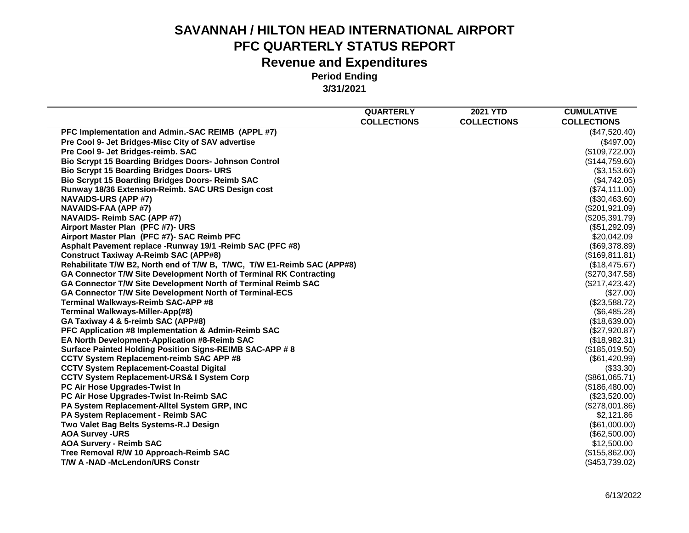|                                                                         | <b>QUARTERLY</b>   | <b>2021 YTD</b>    | <b>CUMULATIVE</b>  |
|-------------------------------------------------------------------------|--------------------|--------------------|--------------------|
|                                                                         | <b>COLLECTIONS</b> | <b>COLLECTIONS</b> | <b>COLLECTIONS</b> |
| PFC Implementation and Admin.-SAC REIMB (APPL #7)                       |                    |                    | (\$47,520.40)      |
| Pre Cool 9- Jet Bridges-Misc City of SAV advertise                      |                    |                    | (\$497.00)         |
| Pre Cool 9- Jet Bridges-reimb. SAC                                      |                    |                    | (\$109,722.00)     |
| <b>Bio Scrypt 15 Boarding Bridges Doors- Johnson Control</b>            |                    |                    | (\$144,759.60)     |
| <b>Bio Scrypt 15 Boarding Bridges Doors- URS</b>                        |                    |                    | (\$3,153.60)       |
| <b>Bio Scrypt 15 Boarding Bridges Doors- Reimb SAC</b>                  |                    |                    | (\$4,742.05)       |
| Runway 18/36 Extension-Reimb. SAC URS Design cost                       |                    |                    | (\$74,111.00)      |
| <b>NAVAIDS-URS (APP #7)</b>                                             |                    |                    | (\$30,463.60)      |
| NAVAIDS-FAA (APP #7)                                                    |                    |                    | (\$201,921.09)     |
| <b>NAVAIDS- Reimb SAC (APP #7)</b>                                      |                    |                    | (\$205,391.79)     |
| Airport Master Plan (PFC #7)- URS                                       |                    |                    | (\$51,292.09)      |
| Airport Master Plan (PFC #7)- SAC Reimb PFC                             |                    |                    | \$20,042.09        |
| Asphalt Pavement replace -Runway 19/1 -Reimb SAC (PFC #8)               |                    |                    | (\$69,378.89)      |
| <b>Construct Taxiway A-Reimb SAC (APP#8)</b>                            |                    |                    | (\$169, 811.81)    |
| Rehabilitate T/W B2, North end of T/W B, T/WC, T/W E1-Reimb SAC (APP#8) |                    |                    | (\$18,475.67)      |
| GA Connector T/W Site Development North of Terminal RK Contracting      |                    |                    | (\$270,347.58)     |
| GA Connector T/W Site Development North of Terminal Reimb SAC           |                    |                    | (\$217, 423.42)    |
| GA Connector T/W Site Development North of Terminal-ECS                 |                    |                    | (\$27.00)          |
| Terminal Walkways-Reimb SAC-APP #8                                      |                    |                    | (\$23,588.72)      |
| Terminal Walkways-Miller-App(#8)                                        |                    |                    | (\$6,485.28)       |
| GA Taxiway 4 & 5-reimb SAC (APP#8)                                      |                    |                    | (\$18,639.00)      |
| PFC Application #8 Implementation & Admin-Reimb SAC                     |                    |                    | (\$27,920.87)      |
| EA North Development-Application #8-Reimb SAC                           |                    |                    | (\$18,982.31)      |
| Surface Painted Holding Position Signs-REIMB SAC-APP # 8                |                    |                    | (\$185,019.50)     |
| <b>CCTV System Replacement-reimb SAC APP #8</b>                         |                    |                    | (\$61,420.99)      |
| <b>CCTV System Replacement-Coastal Digital</b>                          |                    |                    | (\$33.30)          |
| <b>CCTV System Replacement-URS&amp; I System Corp</b>                   |                    |                    | (\$861,065.71)     |
| PC Air Hose Upgrades-Twist In                                           |                    |                    | (\$186,480.00)     |
| PC Air Hose Upgrades-Twist In-Reimb SAC                                 |                    |                    | (\$23,520.00)      |
| PA System Replacement-Alltel System GRP, INC                            |                    |                    | (\$278,001.86)     |
| PA System Replacement - Reimb SAC                                       |                    |                    | \$2,121.86         |
| Two Valet Bag Belts Systems-R.J Design                                  |                    |                    | (\$61,000.00)      |
| <b>AOA Survey -URS</b>                                                  |                    |                    | (\$62,500.00)      |
| <b>AOA Survery - Reimb SAC</b>                                          |                    |                    | \$12,500.00        |
| Tree Removal R/W 10 Approach-Reimb SAC                                  |                    |                    | (\$155,862.00)     |
| <b>T/W A-NAD-McLendon/URS Constr</b>                                    |                    |                    | (\$453,739.02)     |